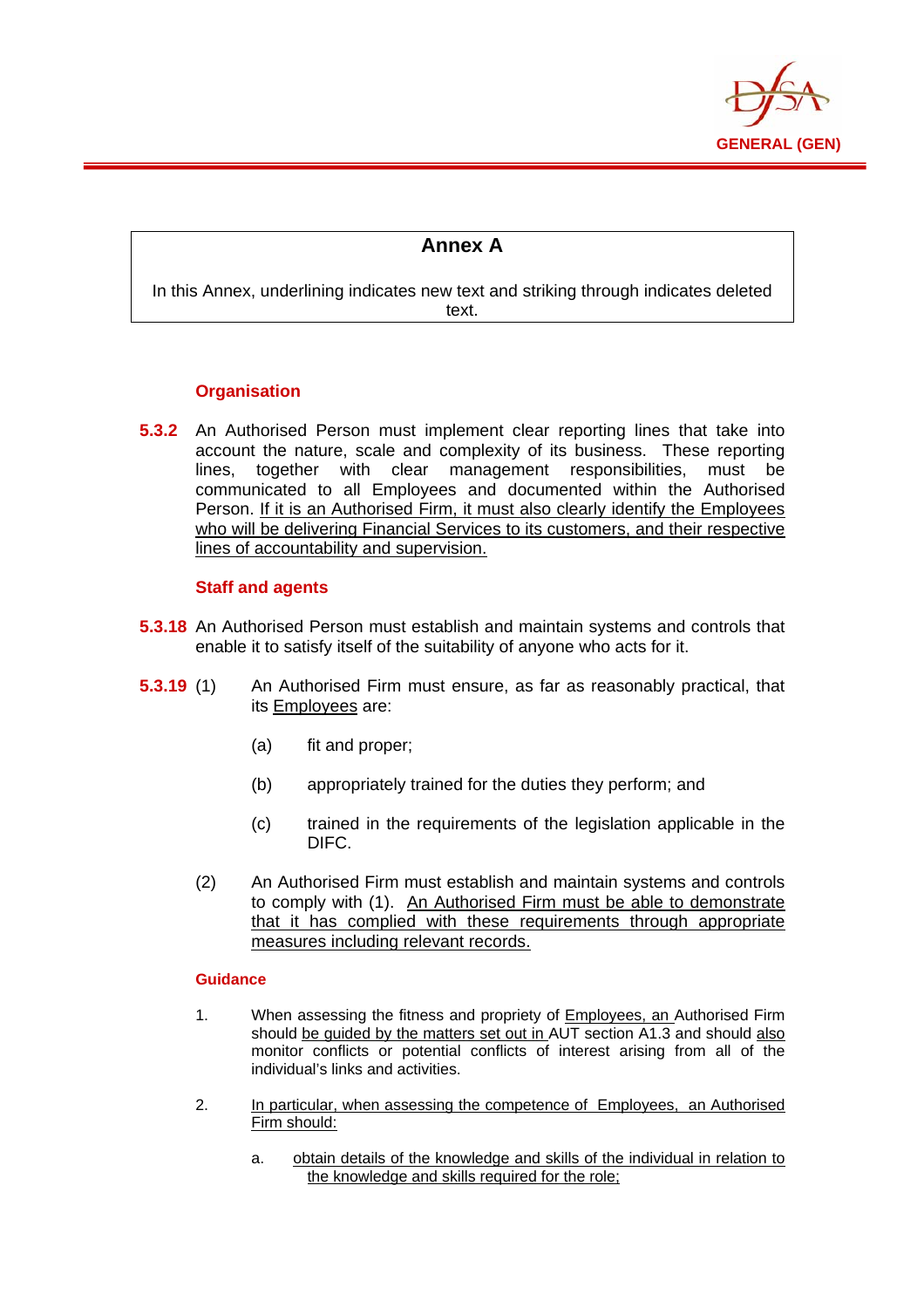

## **Annex A**

In this Annex, underlining indicates new text and striking through indicates deleted text.

## **Organisation**

E

**5.3.2** An Authorised Person must implement clear reporting lines that take into account the nature, scale and complexity of its business. These reporting lines, together with clear management responsibilities, must be communicated to all Employees and documented within the Authorised Person. If it is an Authorised Firm, it must also clearly identify the Employees who will be delivering Financial Services to its customers, and their respective lines of accountability and supervision.

## **Staff and agents**

- **5.3.18** An Authorised Person must establish and maintain systems and controls that enable it to satisfy itself of the suitability of anyone who acts for it.
- **5.3.19** (1) An Authorised Firm must ensure, as far as reasonably practical, that its Employees are:
	- (a) fit and proper;
	- (b) appropriately trained for the duties they perform; and
	- (c) trained in the requirements of the legislation applicable in the DIFC.
	- (2) An Authorised Firm must establish and maintain systems and controls to comply with (1). An Authorised Firm must be able to demonstrate that it has complied with these requirements through appropriate measures including relevant records.

## **Guidance**

- 1. When assessing the fitness and propriety of Employees, an Authorised Firm should be guided by the matters set out in AUT section A1.3 and should also monitor conflicts or potential conflicts of interest arising from all of the individual's links and activities.
- 2. In particular, when assessing the competence of Employees, an Authorised Firm should:
	- a. obtain details of the knowledge and skills of the individual in relation to the knowledge and skills required for the role;